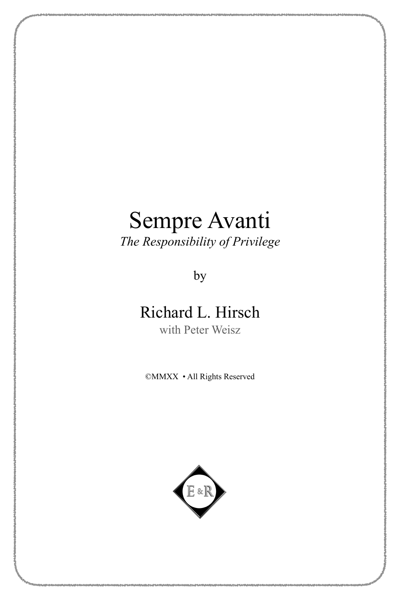*The Responsibility of Privilege*

by

# Richard L. Hirsch

with Peter Weisz

©MMXX • All Rights Reserved

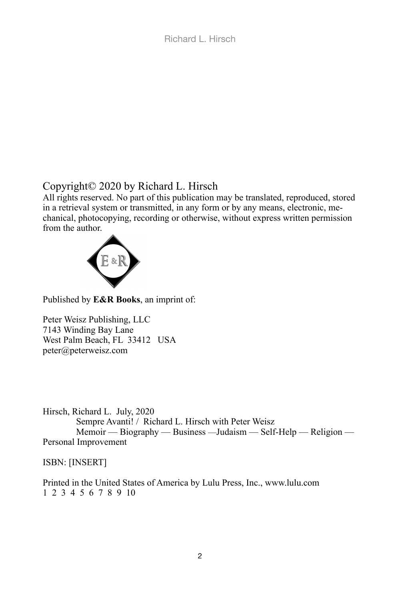## Copyright© 2020 by Richard L. Hirsch

All rights reserved. No part of this publication may be translated, reproduced, stored in a retrieval system or transmitted, in any form or by any means, electronic, mechanical, photocopying, recording or otherwise, without express written permission from the author.



Published by **E&R Books**, an imprint of:

Peter Weisz Publishing, LLC 7143 Winding Bay Lane West Palm Beach, FL 33412 USA [peter@peterweisz.com](mailto:peter@peterweisz.com)

Hirsch, Richard L. July, 2020 Sempre Avanti! / Richard L. Hirsch with Peter Weisz Memoir — Biography — Business —Judaism — Self-Help — Religion — Personal Improvement

ISBN: [INSERT]

Printed in the United States of America by Lulu Press, Inc., www.lulu.com 1 2 3 4 5 6 7 8 9 10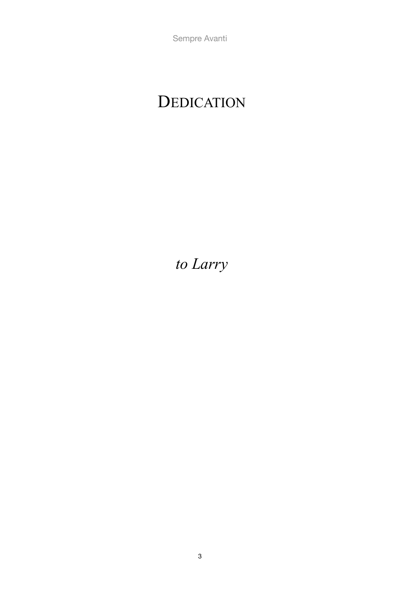# DEDICATION

*to Larry*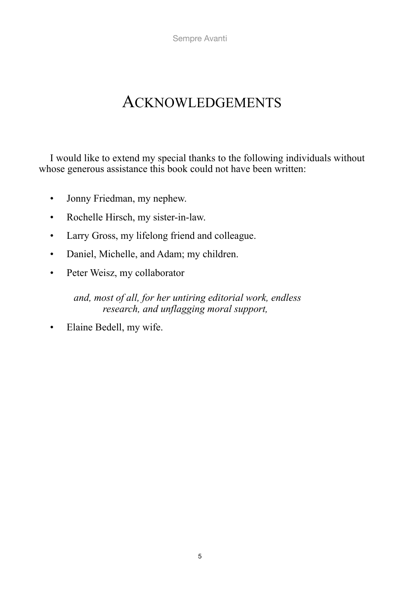# ACKNOWLEDGEMENTS

I would like to extend my special thanks to the following individuals without whose generous assistance this book could not have been written:

- Jonny Friedman, my nephew.
- Rochelle Hirsch, my sister-in-law.
- Larry Gross, my lifelong friend and colleague.
- Daniel, Michelle, and Adam; my children.
- Peter Weisz, my collaborator

*and, most of all, for her untiring editorial work, endless research, and unflagging moral support,*

• Elaine Bedell, my wife.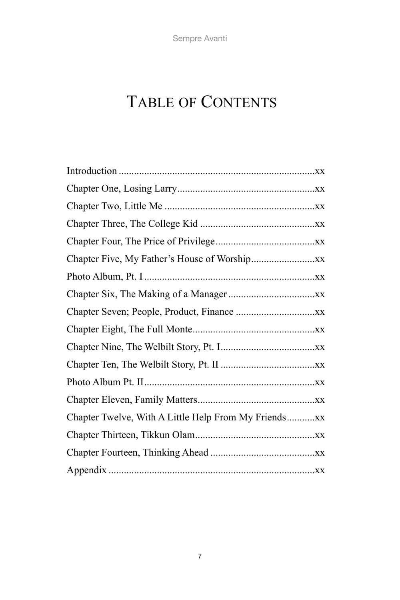# TABLE OF CONTENTS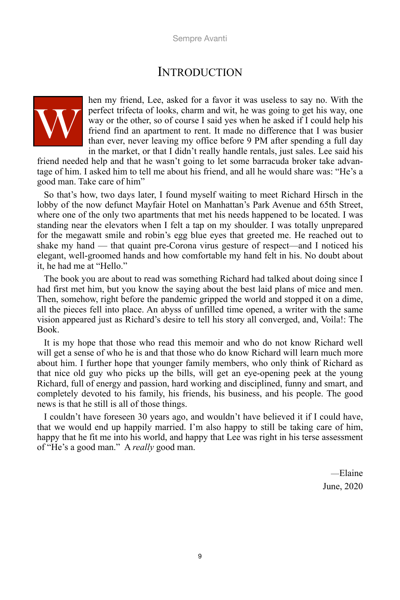## **INTRODUCTION**



hen my friend, Lee, asked for a favor it was useless to say no. With the perfect trifecta of looks, charm and wit, he was going to get his way, one way or the other, so of course I said yes when he asked if I could help his friend find an apartment to rent. It made no difference that I was busier than ever, never leaving my office before 9 PM after spending a full day in the market, or that I didn't really handle rentals, just sales. Lee said his

friend needed help and that he wasn't going to let some barracuda broker take advantage of him. I asked him to tell me about his friend, and all he would share was: "He's a good man. Take care of him"

So that's how, two days later, I found myself waiting to meet Richard Hirsch in the lobby of the now defunct Mayfair Hotel on Manhattan's Park Avenue and 65th Street, where one of the only two apartments that met his needs happened to be located. I was standing near the elevators when I felt a tap on my shoulder. I was totally unprepared for the megawatt smile and robin's egg blue eyes that greeted me. He reached out to shake my hand — that quaint pre-Corona virus gesture of respect—and I noticed his elegant, well-groomed hands and how comfortable my hand felt in his. No doubt about it, he had me at "Hello."

The book you are about to read was something Richard had talked about doing since I had first met him, but you know the saying about the best laid plans of mice and men. Then, somehow, right before the pandemic gripped the world and stopped it on a dime, all the pieces fell into place. An abyss of unfilled time opened, a writer with the same vision appeared just as Richard's desire to tell his story all converged, and, Voila!: The Book.

It is my hope that those who read this memoir and who do not know Richard well will get a sense of who he is and that those who do know Richard will learn much more about him. I further hope that younger family members, who only think of Richard as that nice old guy who picks up the bills, will get an eye-opening peek at the young Richard, full of energy and passion, hard working and disciplined, funny and smart, and completely devoted to his family, his friends, his business, and his people. The good news is that he still is all of those things.

I couldn't have foreseen 30 years ago, and wouldn't have believed it if I could have, that we would end up happily married. I'm also happy to still be taking care of him, happy that he fit me into his world, and happy that Lee was right in his terse assessment of "He's a good man." A *really* good man.

> —Elaine June, 2020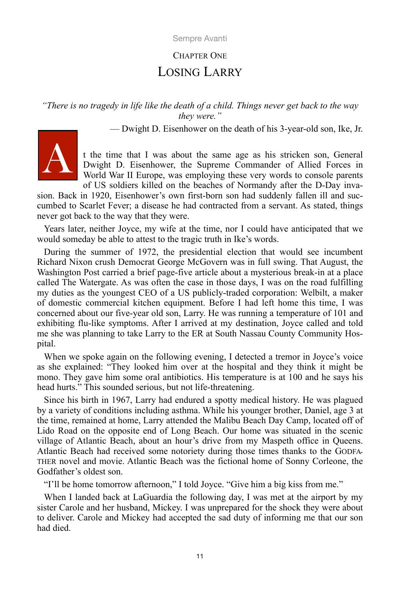## CHAPTER ONE LOSING LARRY

*"There is no tragedy in life like the death of a child. Things never get back to the way they were."*

— Dwight D. Eisenhower on the death of his 3-year-old son, Ike, Jr.



t the time that I was about the same age as his stricken son, General Dwight D. Eisenhower, the Supreme Commander of Allied Forces in World War II Europe, was employing these very words to console parents of US soldiers killed on the beaches of Normandy after the D-Day inva-

sion. Back in 1920, Eisenhower's own first-born son had suddenly fallen ill and succumbed to Scarlet Fever; a disease he had contracted from a servant. As stated, things never got back to the way that they were.

Years later, neither Joyce, my wife at the time, nor I could have anticipated that we would someday be able to attest to the tragic truth in Ike's words.

During the summer of 1972, the presidential election that would see incumbent Richard Nixon crush Democrat George McGovern was in full swing. That August, the Washington Post carried a brief page-five article about a mysterious break-in at a place called The Watergate. As was often the case in those days, I was on the road fulfilling my duties as the youngest CEO of a US publicly-traded corporation: Welbilt, a maker of domestic commercial kitchen equipment. Before I had left home this time, I was concerned about our five-year old son, Larry. He was running a temperature of 101 and exhibiting flu-like symptoms. After I arrived at my destination, Joyce called and told me she was planning to take Larry to the ER at South Nassau County Community Hospital.

When we spoke again on the following evening, I detected a tremor in Joyce's voice as she explained: "They looked him over at the hospital and they think it might be mono. They gave him some oral antibiotics. His temperature is at 100 and he says his head hurts." This sounded serious, but not life-threatening.

Since his birth in 1967, Larry had endured a spotty medical history. He was plagued by a variety of conditions including asthma. While his younger brother, Daniel, age 3 at the time, remained at home, Larry attended the Malibu Beach Day Camp, located off of Lido Road on the opposite end of Long Beach. Our home was situated in the scenic village of Atlantic Beach, about an hour's drive from my Maspeth office in Queens. Atlantic Beach had received some notoriety during those times thanks to the GODFA-THER novel and movie. Atlantic Beach was the fictional home of Sonny Corleone, the Godfather's oldest son.

"I'll be home tomorrow afternoon," I told Joyce. "Give him a big kiss from me."

When I landed back at LaGuardia the following day, I was met at the airport by my sister Carole and her husband, Mickey. I was unprepared for the shock they were about to deliver. Carole and Mickey had accepted the sad duty of informing me that our son had died.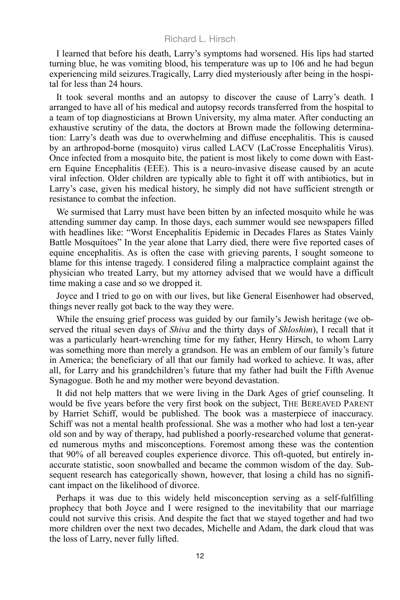I learned that before his death, Larry's symptoms had worsened. His lips had started turning blue, he was vomiting blood, his temperature was up to 106 and he had begun experiencing mild seizures.Tragically, Larry died mysteriously after being in the hospital for less than 24 hours.

It took several months and an autopsy to discover the cause of Larry's death. I arranged to have all of his medical and autopsy records transferred from the hospital to a team of top diagnosticians at Brown University, my alma mater. After conducting an exhaustive scrutiny of the data, the doctors at Brown made the following determination: Larry's death was due to overwhelming and diffuse encephalitis. This is caused by an arthropod-borne (mosquito) virus called LACV (LaCrosse Encephalitis Virus). Once infected from a mosquito bite, the patient is most likely to come down with Eastern Equine Encephalitis (EEE). This is a neuro-invasive disease caused by an acute viral infection. Older children are typically able to fight it off with antibiotics, but in Larry's case, given his medical history, he simply did not have sufficient strength or resistance to combat the infection.

We surmised that Larry must have been bitten by an infected mosquito while he was attending summer day camp. In those days, each summer would see newspapers filled with headlines like: "Worst Encephalitis Epidemic in Decades Flares as States Vainly Battle Mosquitoes" In the year alone that Larry died, there were five reported cases of equine encephalitis. As is often the case with grieving parents, I sought someone to blame for this intense tragedy. I considered filing a malpractice complaint against the physician who treated Larry, but my attorney advised that we would have a difficult time making a case and so we dropped it.

Joyce and I tried to go on with our lives, but like General Eisenhower had observed, things never really got back to the way they were.

While the ensuing grief process was guided by our family's Jewish heritage (we observed the ritual seven days of *Shiva* and the thirty days of *Shloshim*), I recall that it was a particularly heart-wrenching time for my father, Henry Hirsch, to whom Larry was something more than merely a grandson. He was an emblem of our family's future in America; the beneficiary of all that our family had worked to achieve. It was, after all, for Larry and his grandchildren's future that my father had built the Fifth Avenue Synagogue. Both he and my mother were beyond devastation.

It did not help matters that we were living in the Dark Ages of grief counseling. It would be five years before the very first book on the subject, THE BEREAVED PARENT by Harriet Schiff, would be published. The book was a masterpiece of inaccuracy. Schiff was not a mental health professional. She was a mother who had lost a ten-year old son and by way of therapy, had published a poorly-researched volume that generated numerous myths and misconceptions. Foremost among these was the contention that 90% of all bereaved couples experience divorce. This oft-quoted, but entirely inaccurate statistic, soon snowballed and became the common wisdom of the day. Subsequent research has categorically shown, however, that losing a child has no significant impact on the likelihood of divorce.

Perhaps it was due to this widely held misconception serving as a self-fulfilling prophecy that both Joyce and I were resigned to the inevitability that our marriage could not survive this crisis. And despite the fact that we stayed together and had two more children over the next two decades, Michelle and Adam, the dark cloud that was the loss of Larry, never fully lifted.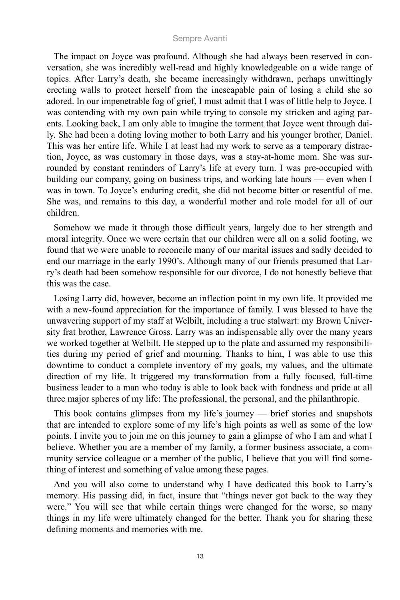The impact on Joyce was profound. Although she had always been reserved in conversation, she was incredibly well-read and highly knowledgeable on a wide range of topics. After Larry's death, she became increasingly withdrawn, perhaps unwittingly erecting walls to protect herself from the inescapable pain of losing a child she so adored. In our impenetrable fog of grief, I must admit that I was of little help to Joyce. I was contending with my own pain while trying to console my stricken and aging parents. Looking back, I am only able to imagine the torment that Joyce went through daily. She had been a doting loving mother to both Larry and his younger brother, Daniel. This was her entire life. While I at least had my work to serve as a temporary distraction, Joyce, as was customary in those days, was a stay-at-home mom. She was surrounded by constant reminders of Larry's life at every turn. I was pre-occupied with building our company, going on business trips, and working late hours — even when I was in town. To Joyce's enduring credit, she did not become bitter or resentful of me. She was, and remains to this day, a wonderful mother and role model for all of our children.

Somehow we made it through those difficult years, largely due to her strength and moral integrity. Once we were certain that our children were all on a solid footing, we found that we were unable to reconcile many of our marital issues and sadly decided to end our marriage in the early 1990's. Although many of our friends presumed that Larry's death had been somehow responsible for our divorce, I do not honestly believe that this was the case.

Losing Larry did, however, become an inflection point in my own life. It provided me with a new-found appreciation for the importance of family. I was blessed to have the unwavering support of my staff at Welbilt, including a true stalwart: my Brown University frat brother, Lawrence Gross. Larry was an indispensable ally over the many years we worked together at Welbilt. He stepped up to the plate and assumed my responsibilities during my period of grief and mourning. Thanks to him, I was able to use this downtime to conduct a complete inventory of my goals, my values, and the ultimate direction of my life. It triggered my transformation from a fully focused, full-time business leader to a man who today is able to look back with fondness and pride at all three major spheres of my life: The professional, the personal, and the philanthropic.

This book contains glimpses from my life's journey — brief stories and snapshots that are intended to explore some of my life's high points as well as some of the low points. I invite you to join me on this journey to gain a glimpse of who I am and what I believe. Whether you are a member of my family, a former business associate, a community service colleague or a member of the public, I believe that you will find something of interest and something of value among these pages.

And you will also come to understand why I have dedicated this book to Larry's memory. His passing did, in fact, insure that "things never got back to the way they were." You will see that while certain things were changed for the worse, so many things in my life were ultimately changed for the better. Thank you for sharing these defining moments and memories with me.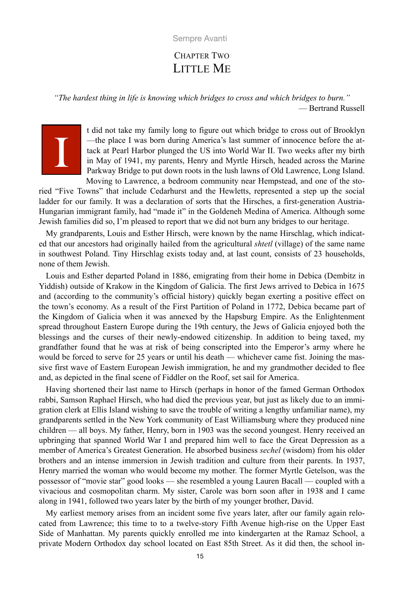### CHAPTER TWO LITTLE ME

*"The hardest thing in life is knowing which bridges to cross and which bridges to burn."* — Bertrand Russell



t did not take my family long to figure out which bridge to cross out of Brooklyn —the place I was born during America's last summer of innocence before the attack at Pearl Harbor plunged the US into World War II. Two weeks after my birth in May of 1941, my parents, Henry and Myrtle Hirsch, headed across the Marine Parkway Bridge to put down roots in the lush lawns of Old Lawrence, Long Island. Moving to Lawrence, a bedroom community near Hempstead, and one of the sto-

ried "Five Towns" that include Cedarhurst and the Hewletts, represented a step up the social ladder for our family. It was a declaration of sorts that the Hirsches, a first-generation Austria-Hungarian immigrant family, had "made it" in the Goldeneh Medina of America. Although some Jewish families did so, I'm pleased to report that we did not burn any bridges to our heritage.

My grandparents, Louis and Esther Hirsch, were known by the name Hirschlag, which indicated that our ancestors had originally hailed from the agricultural *shtetl* (village) of the same name in southwest Poland. Tiny Hirschlag exists today and, at last count, consists of 23 households, none of them Jewish.

Louis and Esther departed Poland in 1886, emigrating from their home in Debica (Dembitz in Yiddish) outside of Krakow in the Kingdom of Galicia. The first Jews arrived to Debica in 1675 and (according to the community's official history) quickly began exerting a positive effect on the town's economy. As a result of the First Partition of Poland in 1772, Debica became part of the Kingdom of Galicia when it was annexed by the Hapsburg Empire. As the Enlightenment spread throughout Eastern Europe during the 19th century, the Jews of Galicia enjoyed both the blessings and the curses of their newly-endowed citizenship. In addition to being taxed, my grandfather found that he was at risk of being conscripted into the Emperor's army where he would be forced to serve for 25 years or until his death — whichever came fist. Joining the massive first wave of Eastern European Jewish immigration, he and my grandmother decided to flee and, as depicted in the final scene of Fiddler on the Roof, set sail for America.

Having shortened their last name to Hirsch (perhaps in honor of the famed German Orthodox rabbi, Samson Raphael Hirsch, who had died the previous year, but just as likely due to an immigration clerk at Ellis Island wishing to save the trouble of writing a lengthy unfamiliar name), my grandparents settled in the New York community of East Williamsburg where they produced nine children — all boys. My father, Henry, born in 1903 was the second youngest. Henry received an upbringing that spanned World War I and prepared him well to face the Great Depression as a member of America's Greatest Generation. He absorbed business *sechel* (wisdom) from his older brothers and an intense immersion in Jewish tradition and culture from their parents. In 1937, Henry married the woman who would become my mother. The former Myrtle Getelson, was the possessor of "movie star" good looks — she resembled a young Lauren Bacall — coupled with a vivacious and cosmopolitan charm. My sister, Carole was born soon after in 1938 and I came along in 1941, followed two years later by the birth of my younger brother, David.

My earliest memory arises from an incident some five years later, after our family again relocated from Lawrence; this time to to a twelve-story Fifth Avenue high-rise on the Upper East Side of Manhattan. My parents quickly enrolled me into kindergarten at the Ramaz School, a private Modern Orthodox day school located on East 85th Street. As it did then, the school in-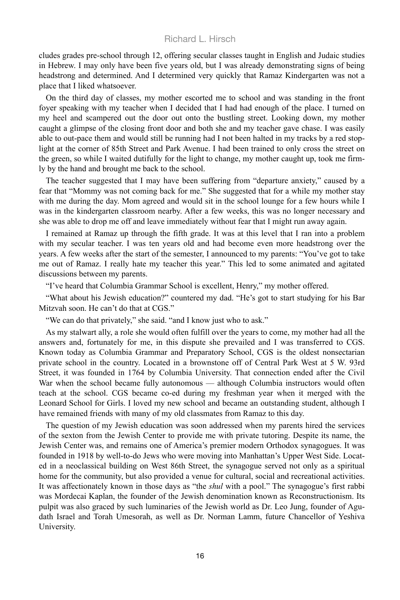cludes grades pre-school through 12, offering secular classes taught in English and Judaic studies in Hebrew. I may only have been five years old, but I was already demonstrating signs of being headstrong and determined. And I determined very quickly that Ramaz Kindergarten was not a place that I liked whatsoever.

On the third day of classes, my mother escorted me to school and was standing in the front foyer speaking with my teacher when I decided that I had had enough of the place. I turned on my heel and scampered out the door out onto the bustling street. Looking down, my mother caught a glimpse of the closing front door and both she and my teacher gave chase. I was easily able to out-pace them and would still be running had I not been halted in my tracks by a red stoplight at the corner of 85th Street and Park Avenue. I had been trained to only cross the street on the green, so while I waited dutifully for the light to change, my mother caught up, took me firmly by the hand and brought me back to the school.

The teacher suggested that I may have been suffering from "departure anxiety," caused by a fear that "Mommy was not coming back for me." She suggested that for a while my mother stay with me during the day. Mom agreed and would sit in the school lounge for a few hours while I was in the kindergarten classroom nearby. After a few weeks, this was no longer necessary and she was able to drop me off and leave immediately without fear that I might run away again.

I remained at Ramaz up through the fifth grade. It was at this level that I ran into a problem with my secular teacher. I was ten years old and had become even more headstrong over the years. A few weeks after the start of the semester, I announced to my parents: "You've got to take me out of Ramaz. I really hate my teacher this year." This led to some animated and agitated discussions between my parents.

"I've heard that Columbia Grammar School is excellent, Henry," my mother offered.

"What about his Jewish education?" countered my dad. "He's got to start studying for his Bar Mitzvah soon. He can't do that at CGS."

"We can do that privately," she said. "and I know just who to ask."

As my stalwart ally, a role she would often fulfill over the years to come, my mother had all the answers and, fortunately for me, in this dispute she prevailed and I was transferred to CGS. Known today as Columbia Grammar and Preparatory School, CGS is the oldest nonsectarian private school in the country. Located in a brownstone off of Central Park West at 5 W. 93rd Street, it was founded in 1764 by Columbia University. That connection ended after the Civil War when the school became fully autonomous — although Columbia instructors would often teach at the school. CGS became co-ed during my freshman year when it merged with the Leonard School for Girls. I loved my new school and became an outstanding student, although I have remained friends with many of my old classmates from Ramaz to this day.

The question of my Jewish education was soon addressed when my parents hired the services of the sexton from the Jewish Center to provide me with private tutoring. Despite its name, the Jewish Center was, and remains one of America's premier modern Orthodox synagogues. It was founded in 1918 by well-to-do Jews who were moving into Manhattan's Upper West Side. Located in a neoclassical building on West 86th Street, the synagogue served not only as a spiritual home for the community, but also provided a venue for cultural, social and recreational activities. It was affectionately known in those days as "the *shul* with a pool." The synagogue's first rabbi was Mordecai Kaplan, the founder of the Jewish denomination known as Reconstructionism. Its pulpit was also graced by such luminaries of the Jewish world as Dr. Leo Jung, founder of Agudath Israel and Torah Umesorah, as well as Dr. Norman Lamm, future Chancellor of Yeshiva University.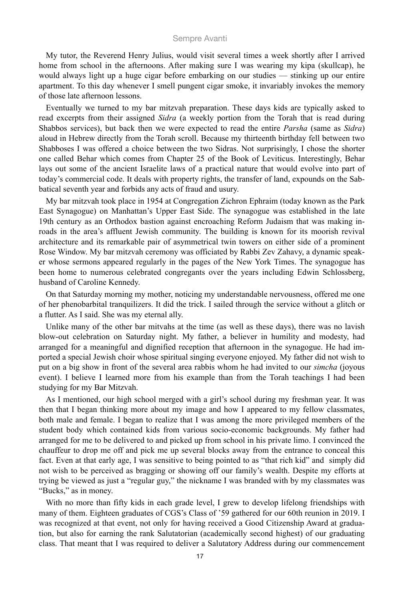My tutor, the Reverend Henry Julius, would visit several times a week shortly after I arrived home from school in the afternoons. After making sure I was wearing my kipa (skullcap), he would always light up a huge cigar before embarking on our studies — stinking up our entire apartment. To this day whenever I smell pungent cigar smoke, it invariably invokes the memory of those late afternoon lessons.

Eventually we turned to my bar mitzvah preparation. These days kids are typically asked to read excerpts from their assigned *Sidra* (a weekly portion from the Torah that is read during Shabbos services), but back then we were expected to read the entire *Parsha* (same as *Sidra*) aloud in Hebrew directly from the Torah scroll. Because my thirteenth birthday fell between two Shabboses I was offered a choice between the two Sidras. Not surprisingly, I chose the shorter one called Behar which comes from Chapter 25 of the Book of Leviticus. Interestingly, Behar lays out some of the ancient Israelite laws of a practical nature that would evolve into part of today's commercial code. It deals with property rights, the transfer of land, expounds on the Sabbatical seventh year and forbids any acts of fraud and usury.

My bar mitzvah took place in 1954 at Congregation Zichron Ephraim (today known as the Park East Synagogue) on Manhattan's Upper East Side. The synagogue was established in the late 19th century as an Orthodox bastion against encroaching Reform Judaism that was making inroads in the area's affluent Jewish community. The building is known for its moorish revival architecture and its remarkable pair of asymmetrical twin towers on either side of a prominent Rose Window. My bar mitzvah ceremony was officiated by Rabbi Zev Zahavy, a dynamic speaker whose sermons appeared regularly in the pages of the New York Times. The synagogue has been home to numerous celebrated congregants over the years including Edwin Schlossberg, husband of Caroline Kennedy.

On that Saturday morning my mother, noticing my understandable nervousness, offered me one of her phenobarbital tranquilizers. It did the trick. I sailed through the service without a glitch or a flutter. As I said. She was my eternal ally.

Unlike many of the other bar mitvahs at the time (as well as these days), there was no lavish blow-out celebration on Saturday night. My father, a believer in humility and modesty, had arranged for a meaningful and dignified reception that afternoon in the synagogue. He had imported a special Jewish choir whose spiritual singing everyone enjoyed. My father did not wish to put on a big show in front of the several area rabbis whom he had invited to our *simcha* (joyous event). I believe I learned more from his example than from the Torah teachings I had been studying for my Bar Mitzvah.

As I mentioned, our high school merged with a girl's school during my freshman year. It was then that I began thinking more about my image and how I appeared to my fellow classmates, both male and female. I began to realize that I was among the more privileged members of the student body which contained kids from various socio-economic backgrounds. My father had arranged for me to be delivered to and picked up from school in his private limo. I convinced the chauffeur to drop me off and pick me up several blocks away from the entrance to conceal this fact. Even at that early age, I was sensitive to being pointed to as "that rich kid" and simply did not wish to be perceived as bragging or showing off our family's wealth. Despite my efforts at trying be viewed as just a "regular guy," the nickname I was branded with by my classmates was "Bucks," as in money.

With no more than fifty kids in each grade level, I grew to develop lifelong friendships with many of them. Eighteen graduates of CGS's Class of '59 gathered for our 60th reunion in 2019. I was recognized at that event, not only for having received a Good Citizenship Award at graduation, but also for earning the rank Salutatorian (academically second highest) of our graduating class. That meant that I was required to deliver a Salutatory Address during our commencement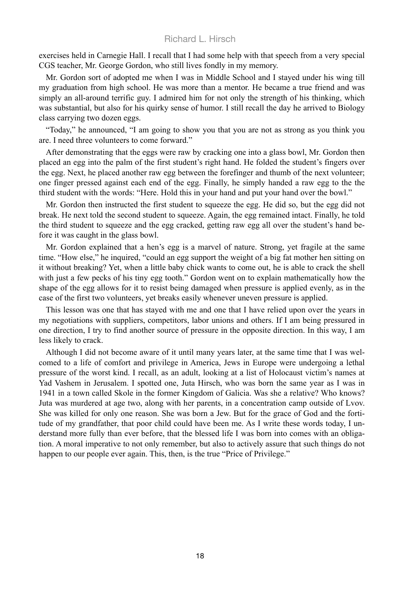exercises held in Carnegie Hall. I recall that I had some help with that speech from a very special CGS teacher, Mr. George Gordon, who still lives fondly in my memory.

Mr. Gordon sort of adopted me when I was in Middle School and I stayed under his wing till my graduation from high school. He was more than a mentor. He became a true friend and was simply an all-around terrific guy. I admired him for not only the strength of his thinking, which was substantial, but also for his quirky sense of humor. I still recall the day he arrived to Biology class carrying two dozen eggs.

"Today," he announced, "I am going to show you that you are not as strong as you think you are. I need three volunteers to come forward."

After demonstrating that the eggs were raw by cracking one into a glass bowl, Mr. Gordon then placed an egg into the palm of the first student's right hand. He folded the student's fingers over the egg. Next, he placed another raw egg between the forefinger and thumb of the next volunteer; one finger pressed against each end of the egg. Finally, he simply handed a raw egg to the the third student with the words: "Here. Hold this in your hand and put your hand over the bowl."

Mr. Gordon then instructed the first student to squeeze the egg. He did so, but the egg did not break. He next told the second student to squeeze. Again, the egg remained intact. Finally, he told the third student to squeeze and the egg cracked, getting raw egg all over the student's hand before it was caught in the glass bowl.

Mr. Gordon explained that a hen's egg is a marvel of nature. Strong, yet fragile at the same time. "How else," he inquired, "could an egg support the weight of a big fat mother hen sitting on it without breaking? Yet, when a little baby chick wants to come out, he is able to crack the shell with just a few pecks of his tiny egg tooth." Gordon went on to explain mathematically how the shape of the egg allows for it to resist being damaged when pressure is applied evenly, as in the case of the first two volunteers, yet breaks easily whenever uneven pressure is applied.

This lesson was one that has stayed with me and one that I have relied upon over the years in my negotiations with suppliers, competitors, labor unions and others. If I am being pressured in one direction, I try to find another source of pressure in the opposite direction. In this way, I am less likely to crack.

Although I did not become aware of it until many years later, at the same time that I was welcomed to a life of comfort and privilege in America, Jews in Europe were undergoing a lethal pressure of the worst kind. I recall, as an adult, looking at a list of Holocaust victim's names at Yad Vashem in Jerusalem. I spotted one, Juta Hirsch, who was born the same year as I was in 1941 in a town called Skole in the former Kingdom of Galicia. Was she a relative? Who knows? Juta was murdered at age two, along with her parents, in a concentration camp outside of Lvov. She was killed for only one reason. She was born a Jew. But for the grace of God and the fortitude of my grandfather, that poor child could have been me. As I write these words today, I understand more fully than ever before, that the blessed life I was born into comes with an obligation. A moral imperative to not only remember, but also to actively assure that such things do not happen to our people ever again. This, then, is the true "Price of Privilege."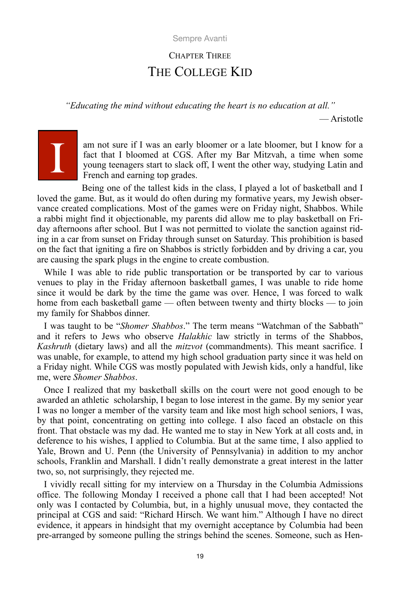# CHAPTER THREE THE COLLEGE KID

*"Educating the mind without educating the heart is no education at all."*

— Aristotle

# I

am not sure if I was an early bloomer or a late bloomer, but I know for a fact that I bloomed at CGS. After my Bar Mitzvah, a time when some young teenagers start to slack off, I went the other way, studying Latin and French and earning top grades.

Being one of the tallest kids in the class, I played a lot of basketball and I loved the game. But, as it would do often during my formative years, my Jewish observance created complications. Most of the games were on Friday night, Shabbos. While a rabbi might find it objectionable, my parents did allow me to play basketball on Friday afternoons after school. But I was not permitted to violate the sanction against riding in a car from sunset on Friday through sunset on Saturday. This prohibition is based on the fact that igniting a fire on Shabbos is strictly forbidden and by driving a car, you are causing the spark plugs in the engine to create combustion.

While I was able to ride public transportation or be transported by car to various venues to play in the Friday afternoon basketball games, I was unable to ride home since it would be dark by the time the game was over. Hence, I was forced to walk home from each basketball game — often between twenty and thirty blocks — to join my family for Shabbos dinner.

I was taught to be "*Shomer Shabbos*." The term means "Watchman of the Sabbath" and it refers to Jews who observe *Halakhic* law strictly in terms of the Shabbos, *Kashruth* (dietary laws) and all the *mitzvot* (commandments). This meant sacrifice. I was unable, for example, to attend my high school graduation party since it was held on a Friday night. While CGS was mostly populated with Jewish kids, only a handful, like me, were *Shomer Shabbos*.

Once I realized that my basketball skills on the court were not good enough to be awarded an athletic scholarship, I began to lose interest in the game. By my senior year I was no longer a member of the varsity team and like most high school seniors, I was, by that point, concentrating on getting into college. I also faced an obstacle on this front. That obstacle was my dad. He wanted me to stay in New York at all costs and, in deference to his wishes, I applied to Columbia. But at the same time, I also applied to Yale, Brown and U. Penn (the University of Pennsylvania) in addition to my anchor schools, Franklin and Marshall. I didn't really demonstrate a great interest in the latter two, so, not surprisingly, they rejected me.

I vividly recall sitting for my interview on a Thursday in the Columbia Admissions office. The following Monday I received a phone call that I had been accepted! Not only was I contacted by Columbia, but, in a highly unusual move, they contacted the principal at CGS and said: "Richard Hirsch. We want him." Although I have no direct evidence, it appears in hindsight that my overnight acceptance by Columbia had been pre-arranged by someone pulling the strings behind the scenes. Someone, such as Hen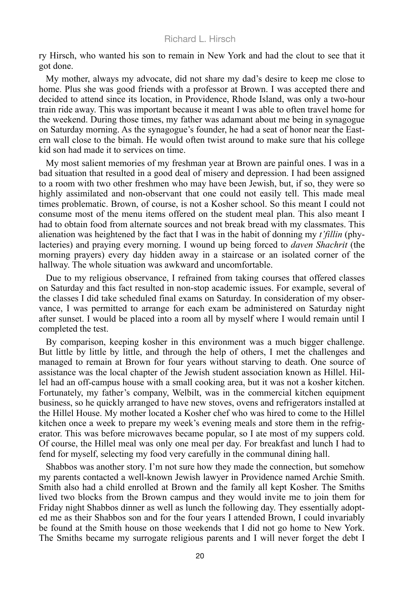ry Hirsch, who wanted his son to remain in New York and had the clout to see that it got done.

My mother, always my advocate, did not share my dad's desire to keep me close to home. Plus she was good friends with a professor at Brown. I was accepted there and decided to attend since its location, in Providence, Rhode Island, was only a two-hour train ride away. This was important because it meant I was able to often travel home for the weekend. During those times, my father was adamant about me being in synagogue on Saturday morning. As the synagogue's founder, he had a seat of honor near the Eastern wall close to the bimah. He would often twist around to make sure that his college kid son had made it to services on time.

My most salient memories of my freshman year at Brown are painful ones. I was in a bad situation that resulted in a good deal of misery and depression. I had been assigned to a room with two other freshmen who may have been Jewish, but, if so, they were so highly assimilated and non-observant that one could not easily tell. This made meal times problematic. Brown, of course, is not a Kosher school. So this meant I could not consume most of the menu items offered on the student meal plan. This also meant I had to obtain food from alternate sources and not break bread with my classmates. This alienation was heightened by the fact that I was in the habit of donning my *t'fillin* (phylacteries) and praying every morning. I wound up being forced to *daven Shachrit* (the morning prayers) every day hidden away in a staircase or an isolated corner of the hallway. The whole situation was awkward and uncomfortable.

Due to my religious observance, I refrained from taking courses that offered classes on Saturday and this fact resulted in non-stop academic issues. For example, several of the classes I did take scheduled final exams on Saturday. In consideration of my observance, I was permitted to arrange for each exam be administered on Saturday night after sunset. I would be placed into a room all by myself where I would remain until I completed the test.

By comparison, keeping kosher in this environment was a much bigger challenge. But little by little by little, and through the help of others, I met the challenges and managed to remain at Brown for four years without starving to death. One source of assistance was the local chapter of the Jewish student association known as Hillel. Hillel had an off-campus house with a small cooking area, but it was not a kosher kitchen. Fortunately, my father's company, Welbilt, was in the commercial kitchen equipment business, so he quickly arranged to have new stoves, ovens and refrigerators installed at the Hillel House. My mother located a Kosher chef who was hired to come to the Hillel kitchen once a week to prepare my week's evening meals and store them in the refrigerator. This was before microwaves became popular, so I ate most of my suppers cold. Of course, the Hillel meal was only one meal per day. For breakfast and lunch I had to fend for myself, selecting my food very carefully in the communal dining hall.

Shabbos was another story. I'm not sure how they made the connection, but somehow my parents contacted a well-known Jewish lawyer in Providence named Archie Smith. Smith also had a child enrolled at Brown and the family all kept Kosher. The Smiths lived two blocks from the Brown campus and they would invite me to join them for Friday night Shabbos dinner as well as lunch the following day. They essentially adopted me as their Shabbos son and for the four years I attended Brown, I could invariably be found at the Smith house on those weekends that I did not go home to New York. The Smiths became my surrogate religious parents and I will never forget the debt I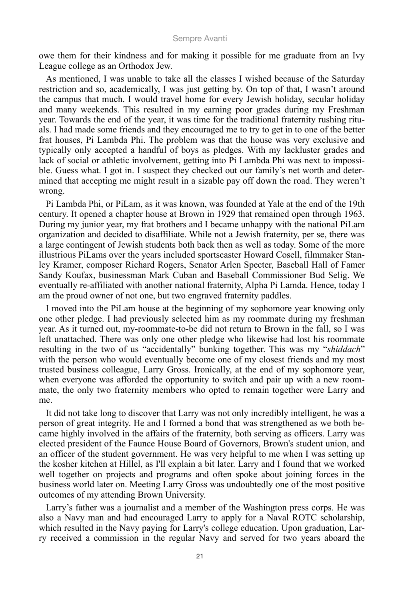owe them for their kindness and for making it possible for me graduate from an Ivy League college as an Orthodox Jew.

As mentioned, I was unable to take all the classes I wished because of the Saturday restriction and so, academically, I was just getting by. On top of that, I wasn't around the campus that much. I would travel home for every Jewish holiday, secular holiday and many weekends. This resulted in my earning poor grades during my Freshman year. Towards the end of the year, it was time for the traditional fraternity rushing rituals. I had made some friends and they encouraged me to try to get in to one of the better frat houses, Pi Lambda Phi. The problem was that the house was very exclusive and typically only accepted a handful of boys as pledges. With my lackluster grades and lack of social or athletic involvement, getting into Pi Lambda Phi was next to impossible. Guess what. I got in. I suspect they checked out our family's net worth and determined that accepting me might result in a sizable pay off down the road. They weren't wrong.

Pi Lambda Phi, or PiLam, as it was known, was founded at Yale at the end of the 19th century. It opened a chapter house at Brown in 1929 that remained open through 1963. During my junior year, my frat brothers and I became unhappy with the national PiLam organization and decided to disaffiliate. While not a Jewish fraternity, per se, there was a large contingent of Jewish students both back then as well as today. Some of the more illustrious PiLams over the years included sportscaster Howard Cosell, filmmaker Stanley Kramer, composer Richard Rogers, Senator Arlen Specter, Baseball Hall of Famer Sandy Koufax, businessman Mark Cuban and Baseball Commissioner Bud Selig. We eventually re-affiliated with another national fraternity, Alpha Pi Lamda. Hence, today I am the proud owner of not one, but two engraved fraternity paddles.

I moved into the PiLam house at the beginning of my sophomore year knowing only one other pledge. I had previously selected him as my roommate during my freshman year. As it turned out, my-roommate-to-be did not return to Brown in the fall, so I was left unattached. There was only one other pledge who likewise had lost his roommate resulting in the two of us "accidentally" bunking together. This was my "*shiddach*" with the person who would eventually become one of my closest friends and my most trusted business colleague, Larry Gross. Ironically, at the end of my sophomore year, when everyone was afforded the opportunity to switch and pair up with a new roommate, the only two fraternity members who opted to remain together were Larry and me.

It did not take long to discover that Larry was not only incredibly intelligent, he was a person of great integrity. He and I formed a bond that was strengthened as we both became highly involved in the affairs of the fraternity, both serving as officers. Larry was elected president of the Faunce House Board of Governors, Brown's student union, and an officer of the student government. He was very helpful to me when I was setting up the kosher kitchen at Hillel, as I'll explain a bit later. Larry and I found that we worked well together on projects and programs and often spoke about joining forces in the business world later on. Meeting Larry Gross was undoubtedly one of the most positive outcomes of my attending Brown University.

Larry's father was a journalist and a member of the Washington press corps. He was also a Navy man and had encouraged Larry to apply for a Naval ROTC scholarship, which resulted in the Navy paying for Larry's college education. Upon graduation, Larry received a commission in the regular Navy and served for two years aboard the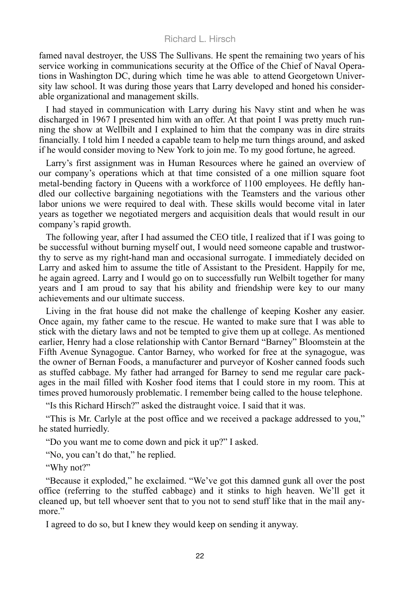famed naval destroyer, the USS The Sullivans. He spent the remaining two years of his service working in communications security at the Office of the Chief of Naval Operations in Washington DC, during which time he was able to attend Georgetown University law school. It was during those years that Larry developed and honed his considerable organizational and management skills.

I had stayed in communication with Larry during his Navy stint and when he was discharged in 1967 I presented him with an offer. At that point I was pretty much running the show at Wellbilt and I explained to him that the company was in dire straits financially. I told him I needed a capable team to help me turn things around, and asked if he would consider moving to New York to join me. To my good fortune, he agreed.

Larry's first assignment was in Human Resources where he gained an overview of our company's operations which at that time consisted of a one million square foot metal-bending factory in Queens with a workforce of 1100 employees. He deftly handled our collective bargaining negotiations with the Teamsters and the various other labor unions we were required to deal with. These skills would become vital in later years as together we negotiated mergers and acquisition deals that would result in our company's rapid growth.

The following year, after I had assumed the CEO title, I realized that if I was going to be successful without burning myself out, I would need someone capable and trustworthy to serve as my right-hand man and occasional surrogate. I immediately decided on Larry and asked him to assume the title of Assistant to the President. Happily for me, he again agreed. Larry and I would go on to successfully run Welbilt together for many years and I am proud to say that his ability and friendship were key to our many achievements and our ultimate success.

Living in the frat house did not make the challenge of keeping Kosher any easier. Once again, my father came to the rescue. He wanted to make sure that I was able to stick with the dietary laws and not be tempted to give them up at college. As mentioned earlier, Henry had a close relationship with Cantor Bernard "Barney" Bloomstein at the Fifth Avenue Synagogue. Cantor Barney, who worked for free at the synagogue, was the owner of Bernan Foods, a manufacturer and purveyor of Kosher canned foods such as stuffed cabbage. My father had arranged for Barney to send me regular care packages in the mail filled with Kosher food items that I could store in my room. This at times proved humorously problematic. I remember being called to the house telephone.

"Is this Richard Hirsch?" asked the distraught voice. I said that it was.

"This is Mr. Carlyle at the post office and we received a package addressed to you," he stated hurriedly.

"Do you want me to come down and pick it up?" I asked.

"No, you can't do that," he replied.

"Why not?"

"Because it exploded," he exclaimed. "We've got this damned gunk all over the post office (referring to the stuffed cabbage) and it stinks to high heaven. We'll get it cleaned up, but tell whoever sent that to you not to send stuff like that in the mail anymore."

I agreed to do so, but I knew they would keep on sending it anyway.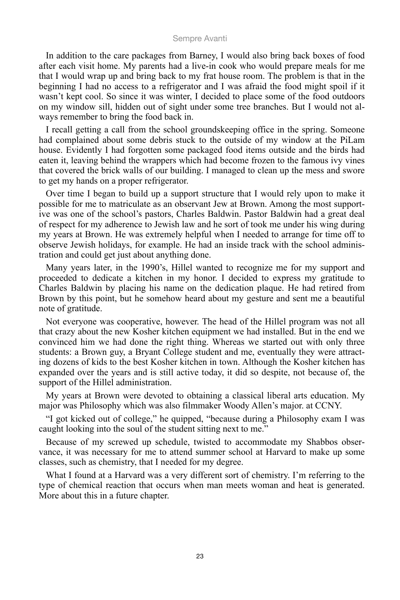In addition to the care packages from Barney, I would also bring back boxes of food after each visit home. My parents had a live-in cook who would prepare meals for me that I would wrap up and bring back to my frat house room. The problem is that in the beginning I had no access to a refrigerator and I was afraid the food might spoil if it wasn't kept cool. So since it was winter, I decided to place some of the food outdoors on my window sill, hidden out of sight under some tree branches. But I would not always remember to bring the food back in.

I recall getting a call from the school groundskeeping office in the spring. Someone had complained about some debris stuck to the outside of my window at the PiLam house. Evidently I had forgotten some packaged food items outside and the birds had eaten it, leaving behind the wrappers which had become frozen to the famous ivy vines that covered the brick walls of our building. I managed to clean up the mess and swore to get my hands on a proper refrigerator.

Over time I began to build up a support structure that I would rely upon to make it possible for me to matriculate as an observant Jew at Brown. Among the most supportive was one of the school's pastors, Charles Baldwin. Pastor Baldwin had a great deal of respect for my adherence to Jewish law and he sort of took me under his wing during my years at Brown. He was extremely helpful when I needed to arrange for time off to observe Jewish holidays, for example. He had an inside track with the school administration and could get just about anything done.

Many years later, in the 1990's, Hillel wanted to recognize me for my support and proceeded to dedicate a kitchen in my honor. I decided to express my gratitude to Charles Baldwin by placing his name on the dedication plaque. He had retired from Brown by this point, but he somehow heard about my gesture and sent me a beautiful note of gratitude.

Not everyone was cooperative, however. The head of the Hillel program was not all that crazy about the new Kosher kitchen equipment we had installed. But in the end we convinced him we had done the right thing. Whereas we started out with only three students: a Brown guy, a Bryant College student and me, eventually they were attracting dozens of kids to the best Kosher kitchen in town. Although the Kosher kitchen has expanded over the years and is still active today, it did so despite, not because of, the support of the Hillel administration.

My years at Brown were devoted to obtaining a classical liberal arts education. My major was Philosophy which was also filmmaker Woody Allen's major. at CCNY.

"I got kicked out of college," he quipped, "because during a Philosophy exam I was caught looking into the soul of the student sitting next to me."

Because of my screwed up schedule, twisted to accommodate my Shabbos observance, it was necessary for me to attend summer school at Harvard to make up some classes, such as chemistry, that I needed for my degree.

What I found at a Harvard was a very different sort of chemistry. I'm referring to the type of chemical reaction that occurs when man meets woman and heat is generated. More about this in a future chapter.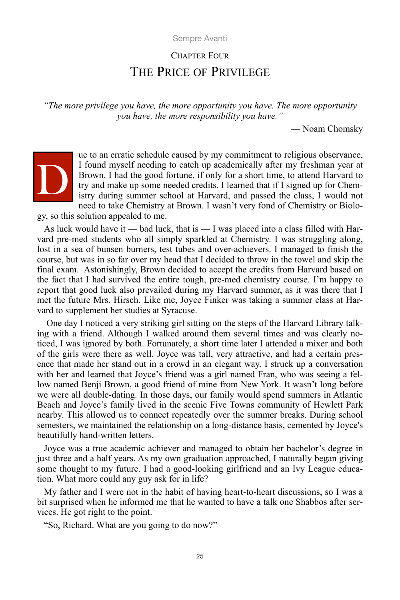## CHAPTER FOUR THE PRICE OF PRIVILEGE

*"The more privilege you have, the more opportunity you have. The more opportunity you have, the more responsibility you have."*

— Noam Chomsky



ue to an erratic schedule caused by my commitment to religious observance, I found myself needing to catch up academically after my freshman year at Brown. I had the good fortune, if only for a short time, to attend Harvard to try and make up some needed credits. I learned that if I signed up for Chemistry during summer school at Harvard, and passed the class, I would not need to take Chemistry at Brown. I wasn't very fond of Chemistry or Biolo-

gy, so this solution appealed to me.

As luck would have it — bad luck, that is — I was placed into a class filled with Harvard pre-med students who all simply sparkled at Chemistry. I was struggling along, lost in a sea of bunsen burners, test tubes and over-achievers. I managed to finish the course, but was in so far over my head that I decided to throw in the towel and skip the final exam. Astonishingly, Brown decided to accept the credits from Harvard based on the fact that I had survived the entire tough, pre-med chemistry course. I'm happy to report that good luck also prevailed during my Harvard summer, as it was there that I met the future Mrs. Hirsch. Like me, Joyce Finker was taking a summer class at Harvard to supplement her studies at Syracuse.

 One day I noticed a very striking girl sitting on the steps of the Harvard Library talking with a friend. Although I walked around them several times and was clearly noticed, I was ignored by both. Fortunately, a short time later I attended a mixer and both of the girls were there as well. Joyce was tall, very attractive, and had a certain presence that made her stand out in a crowd in an elegant way. I struck up a conversation with her and learned that Joyce's friend was a girl named Fran, who was seeing a fellow named Benji Brown, a good friend of mine from New York. It wasn't long before we were all double-dating. In those days, our family would spend summers in Atlantic Beach and Joyce's family lived in the scenic Five Towns community of Hewlett Park nearby. This allowed us to connect repeatedly over the summer breaks. During school semesters, we maintained the relationship on a long-distance basis, cemented by Joyce's beautifully hand-written letters.

Joyce was a true academic achiever and managed to obtain her bachelor's degree in just three and a half years. As my own graduation approached, I naturally began giving some thought to my future. I had a good-looking girlfriend and an Ivy League education. What more could any guy ask for in life?

My father and I were not in the habit of having heart-to-heart discussions, so I was a bit surprised when he informed me that he wanted to have a talk one Shabbos after services. He got right to the point.

"So, Richard. What are you going to do now?"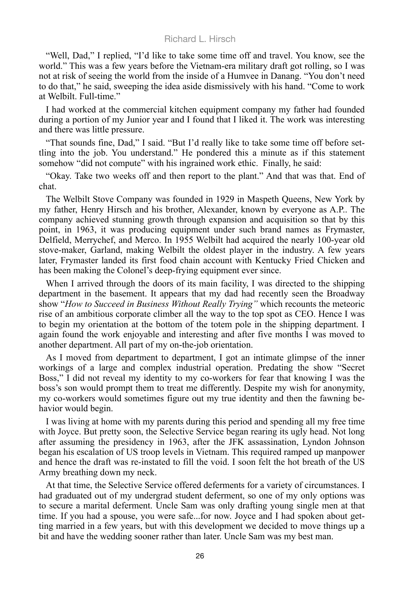"Well, Dad," I replied, "I'd like to take some time off and travel. You know, see the world." This was a few years before the Vietnam-era military draft got rolling, so I was not at risk of seeing the world from the inside of a Humvee in Danang. "You don't need to do that," he said, sweeping the idea aside dismissively with his hand. "Come to work at Welbilt. Full-time."

I had worked at the commercial kitchen equipment company my father had founded during a portion of my Junior year and I found that I liked it. The work was interesting and there was little pressure.

"That sounds fine, Dad," I said. "But I'd really like to take some time off before settling into the job. You understand." He pondered this a minute as if this statement somehow "did not compute" with his ingrained work ethic. Finally, he said:

"Okay. Take two weeks off and then report to the plant." And that was that. End of chat.

The Welbilt Stove Company was founded in 1929 in Maspeth Queens, New York by my father, Henry Hirsch and his brother, Alexander, known by everyone as A.P.. The company achieved stunning growth through expansion and acquisition so that by this point, in 1963, it was producing equipment under such brand names as Frymaster, Delfield, Merrychef, and Merco. In 1955 Welbilt had acquired the nearly 100-year old stove-maker, Garland, making Welbilt the oldest player in the industry. A few years later, Frymaster landed its first food chain account with Kentucky Fried Chicken and has been making the Colonel's deep-frying equipment ever since.

When I arrived through the doors of its main facility, I was directed to the shipping department in the basement. It appears that my dad had recently seen the Broadway show "*How to Succeed in Business Without Really Trying"* which recounts the meteoric rise of an ambitious corporate climber all the way to the top spot as CEO. Hence I was to begin my orientation at the bottom of the totem pole in the shipping department. I again found the work enjoyable and interesting and after five months I was moved to another department. All part of my on-the-job orientation.

As I moved from department to department, I got an intimate glimpse of the inner workings of a large and complex industrial operation. Predating the show "Secret Boss," I did not reveal my identity to my co-workers for fear that knowing I was the boss's son would prompt them to treat me differently. Despite my wish for anonymity, my co-workers would sometimes figure out my true identity and then the fawning behavior would begin.

I was living at home with my parents during this period and spending all my free time with Joyce. But pretty soon, the Selective Service began rearing its ugly head. Not long after assuming the presidency in 1963, after the JFK assassination, Lyndon Johnson began his escalation of US troop levels in Vietnam. This required ramped up manpower and hence the draft was re-instated to fill the void. I soon felt the hot breath of the US Army breathing down my neck.

At that time, the Selective Service offered deferments for a variety of circumstances. I had graduated out of my undergrad student deferment, so one of my only options was to secure a marital deferment. Uncle Sam was only drafting young single men at that time. If you had a spouse, you were safe...for now. Joyce and I had spoken about getting married in a few years, but with this development we decided to move things up a bit and have the wedding sooner rather than later. Uncle Sam was my best man.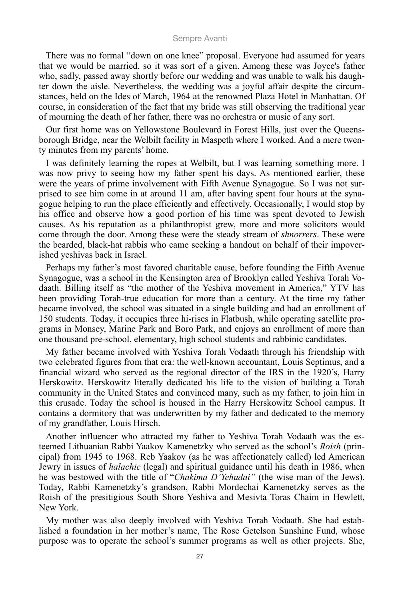There was no formal "down on one knee" proposal. Everyone had assumed for years that we would be married, so it was sort of a given. Among these was Joyce's father who, sadly, passed away shortly before our wedding and was unable to walk his daughter down the aisle. Nevertheless, the wedding was a joyful affair despite the circumstances, held on the Ides of March, 1964 at the renowned Plaza Hotel in Manhattan. Of course, in consideration of the fact that my bride was still observing the traditional year of mourning the death of her father, there was no orchestra or music of any sort.

Our first home was on Yellowstone Boulevard in Forest Hills, just over the Queensborough Bridge, near the Welbilt facility in Maspeth where I worked. And a mere twenty minutes from my parents' home.

I was definitely learning the ropes at Welbilt, but I was learning something more. I was now privy to seeing how my father spent his days. As mentioned earlier, these were the years of prime involvement with Fifth Avenue Synagogue. So I was not surprised to see him come in at around 11 am, after having spent four hours at the synagogue helping to run the place efficiently and effectively. Occasionally, I would stop by his office and observe how a good portion of his time was spent devoted to Jewish causes. As his reputation as a philanthropist grew, more and more solicitors would come through the door. Among these were the steady stream of *shnorrers*. These were the bearded, black-hat rabbis who came seeking a handout on behalf of their impoverished yeshivas back in Israel.

Perhaps my father's most favored charitable cause, before founding the Fifth Avenue Synagogue, was a school in the Kensington area of Brooklyn called Yeshiva Torah Vodaath. Billing itself as "the mother of the Yeshiva movement in America," YTV has been providing Torah-true education for more than a century. At the time my father became involved, the school was situated in a single building and had an enrollment of 150 students. Today, it occupies three hi-rises in Flatbush, while operating satellite programs in Monsey, Marine Park and Boro Park, and enjoys an enrollment of more than one thousand pre-school, elementary, high school students and rabbinic candidates.

My father became involved with Yeshiva Torah Vodaath through his friendship with two celebrated figures from that era: the well-known accountant, Louis Septimus, and a financial wizard who served as the regional director of the IRS in the 1920's, Harry Herskowitz. Herskowitz literally dedicated his life to the vision of building a Torah community in the United States and convinced many, such as my father, to join him in this crusade. Today the school is housed in the Harry Herskowitz School campus. It contains a dormitory that was underwritten by my father and dedicated to the memory of my grandfather, Louis Hirsch.

Another influencer who attracted my father to Yeshiva Torah Vodaath was the esteemed Lithuanian Rabbi Yaakov Kamenetzky who served as the school's *Roish* (principal) from 1945 to 1968. Reb Yaakov (as he was affectionately called) led American Jewry in issues of *halachic* (legal) and spiritual guidance until his death in 1986, when he was bestowed with the title of "*Chakima D'Yehudai"* (the wise man of the Jews). Today, Rabbi Kamenetzky's grandson, Rabbi Mordechai Kamenetzky serves as the Roish of the presitigious South Shore Yeshiva and Mesivta Toras Chaim in Hewlett, New York.

My mother was also deeply involved with Yeshiva Torah Vodaath. She had established a foundation in her mother's name, The Rose Getelson Sunshine Fund, whose purpose was to operate the school's summer programs as well as other projects. She,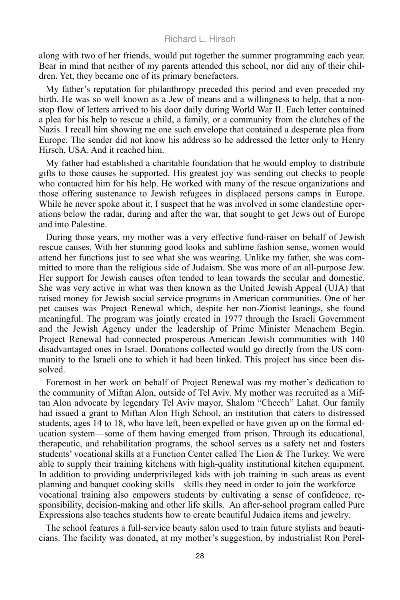along with two of her friends, would put together the summer programming each year. Bear in mind that neither of my parents attended this school, nor did any of their children. Yet, they became one of its primary benefactors.

My father's reputation for philanthropy preceded this period and even preceded my birth. He was so well known as a Jew of means and a willingness to help, that a nonstop flow of letters arrived to his door daily during World War II. Each letter contained a plea for his help to rescue a child, a family, or a community from the clutches of the Nazis. I recall him showing me one such envelope that contained a desperate plea from Europe. The sender did not know his address so he addressed the letter only to Henry Hirsch, USA. And it reached him.

My father had established a charitable foundation that he would employ to distribute gifts to those causes he supported. His greatest joy was sending out checks to people who contacted him for his help. He worked with many of the rescue organizations and those offering sustenance to Jewish refugees in displaced persons camps in Europe. While he never spoke about it, I suspect that he was involved in some clandestine operations below the radar, during and after the war, that sought to get Jews out of Europe and into Palestine.

During those years, my mother was a very effective fund-raiser on behalf of Jewish rescue causes. With her stunning good looks and sublime fashion sense, women would attend her functions just to see what she was wearing. Unlike my father, she was committed to more than the religious side of Judaism. She was more of an all-purpose Jew. Her support for Jewish causes often tended to lean towards the secular and domestic. She was very active in what was then known as the United Jewish Appeal (UJA) that raised money for Jewish social service programs in American communities. One of her pet causes was Project Renewal which, despite her non-Zionist leanings, she found meaningful. The program was jointly created in 1977 through the Israeli Government and the Jewish Agency under the leadership of Prime Minister Menachem Begin. Project Renewal had connected prosperous American Jewish communities with 140 disadvantaged ones in Israel. Donations collected would go directly from the US community to the Israeli one to which it had been linked. This project has since been dissolved.

Foremost in her work on behalf of Project Renewal was my mother's dedication to the community of Miftan Alon, outside of Tel Aviv. My mother was recruited as a Miftan Alon advocate by legendary Tel Aviv mayor, Shalom "Cheech" Lahat. Our family had issued a grant to Miftan Alon High School, an institution that caters to distressed students, ages 14 to 18, who have left, been expelled or have given up on the formal education system—some of them having emerged from prison. Through its educational, therapeutic, and rehabilitation programs, the school serves as a safety net and fosters students' vocational skills at a Function Center called The Lion  $\&$  The Turkey. We were able to supply their training kitchens with high-quality institutional kitchen equipment. In addition to providing underprivileged kids with job training in such areas as event planning and banquet cooking skills—skills they need in order to join the workforce vocational training also empowers students by cultivating a sense of confidence, responsibility, decision-making and other life skills. An after-school program called Pure Expressions also teaches students how to create beautiful Judaica items and jewelry.

The school features a full-service beauty salon used to train future stylists and beauticians. The facility was donated, at my mother's suggestion, by industrialist Ron Perel-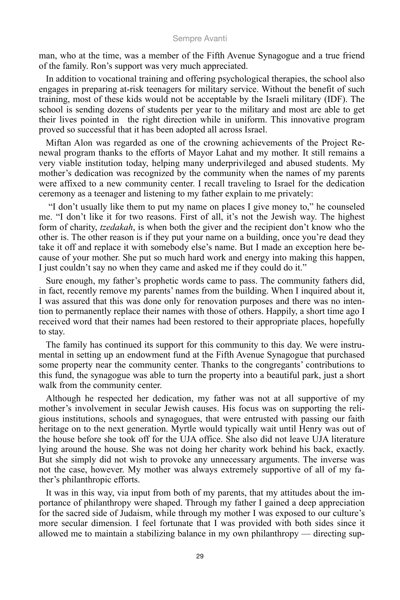man, who at the time, was a member of the Fifth Avenue Synagogue and a true friend of the family. Ron's support was very much appreciated.

In addition to vocational training and offering psychological therapies, the school also engages in preparing at-risk teenagers for military service. Without the benefit of such training, most of these kids would not be acceptable by the Israeli military (IDF). The school is sending dozens of students per year to the military and most are able to get their lives pointed in the right direction while in uniform. This innovative program proved so successful that it has been adopted all across Israel.

Miftan Alon was regarded as one of the crowning achievements of the Project Renewal program thanks to the efforts of Mayor Lahat and my mother. It still remains a very viable institution today, helping many underprivileged and abused students. My mother's dedication was recognized by the community when the names of my parents were affixed to a new community center. I recall traveling to Israel for the dedication ceremony as a teenager and listening to my father explain to me privately:

 "I don't usually like them to put my name on places I give money to," he counseled me. "I don't like it for two reasons. First of all, it's not the Jewish way. The highest form of charity, *tzedakah*, is when both the giver and the recipient don't know who the other is. The other reason is if they put your name on a building, once you're dead they take it off and replace it with somebody else's name. But I made an exception here because of your mother. She put so much hard work and energy into making this happen, I just couldn't say no when they came and asked me if they could do it."

Sure enough, my father's prophetic words came to pass. The community fathers did, in fact, recently remove my parents' names from the building. When I inquired about it, I was assured that this was done only for renovation purposes and there was no intention to permanently replace their names with those of others. Happily, a short time ago I received word that their names had been restored to their appropriate places, hopefully to stay.

The family has continued its support for this community to this day. We were instrumental in setting up an endowment fund at the Fifth Avenue Synagogue that purchased some property near the community center. Thanks to the congregants' contributions to this fund, the synagogue was able to turn the property into a beautiful park, just a short walk from the community center.

Although he respected her dedication, my father was not at all supportive of my mother's involvement in secular Jewish causes. His focus was on supporting the religious institutions, schools and synagogues, that were entrusted with passing our faith heritage on to the next generation. Myrtle would typically wait until Henry was out of the house before she took off for the UJA office. She also did not leave UJA literature lying around the house. She was not doing her charity work behind his back, exactly. But she simply did not wish to provoke any unnecessary arguments. The inverse was not the case, however. My mother was always extremely supportive of all of my father's philanthropic efforts.

It was in this way, via input from both of my parents, that my attitudes about the importance of philanthropy were shaped. Through my father I gained a deep appreciation for the sacred side of Judaism, while through my mother I was exposed to our culture's more secular dimension. I feel fortunate that I was provided with both sides since it allowed me to maintain a stabilizing balance in my own philanthropy — directing sup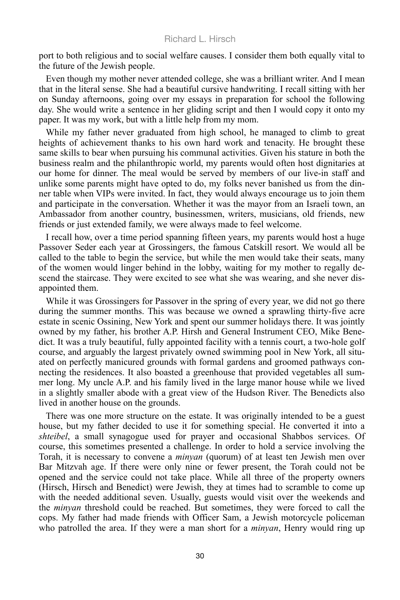port to both religious and to social welfare causes. I consider them both equally vital to the future of the Jewish people.

Even though my mother never attended college, she was a brilliant writer. And I mean that in the literal sense. She had a beautiful cursive handwriting. I recall sitting with her on Sunday afternoons, going over my essays in preparation for school the following day. She would write a sentence in her gliding script and then I would copy it onto my paper. It was my work, but with a little help from my mom.

While my father never graduated from high school, he managed to climb to great heights of achievement thanks to his own hard work and tenacity. He brought these same skills to bear when pursuing his communal activities. Given his stature in both the business realm and the philanthropic world, my parents would often host dignitaries at our home for dinner. The meal would be served by members of our live-in staff and unlike some parents might have opted to do, my folks never banished us from the dinner table when VIPs were invited. In fact, they would always encourage us to join them and participate in the conversation. Whether it was the mayor from an Israeli town, an Ambassador from another country, businessmen, writers, musicians, old friends, new friends or just extended family, we were always made to feel welcome.

I recall how, over a time period spanning fifteen years, my parents would host a huge Passover Seder each year at Grossingers, the famous Catskill resort. We would all be called to the table to begin the service, but while the men would take their seats, many of the women would linger behind in the lobby, waiting for my mother to regally descend the staircase. They were excited to see what she was wearing, and she never disappointed them.

While it was Grossingers for Passover in the spring of every year, we did not go there during the summer months. This was because we owned a sprawling thirty-five acre estate in scenic Ossining, New York and spent our summer holidays there. It was jointly owned by my father, his brother A.P. Hirsh and General Instrument CEO, Mike Benedict. It was a truly beautiful, fully appointed facility with a tennis court, a two-hole golf course, and arguably the largest privately owned swimming pool in New York, all situated on perfectly manicured grounds with formal gardens and groomed pathways connecting the residences. It also boasted a greenhouse that provided vegetables all summer long. My uncle A.P. and his family lived in the large manor house while we lived in a slightly smaller abode with a great view of the Hudson River. The Benedicts also lived in another house on the grounds.

There was one more structure on the estate. It was originally intended to be a guest house, but my father decided to use it for something special. He converted it into a *shteibel*, a small synagogue used for prayer and occasional Shabbos services. Of course, this sometimes presented a challenge. In order to hold a service involving the Torah, it is necessary to convene a *minyan* (quorum) of at least ten Jewish men over Bar Mitzvah age. If there were only nine or fewer present, the Torah could not be opened and the service could not take place. While all three of the property owners (Hirsch, Hirsch and Benedict) were Jewish, they at times had to scramble to come up with the needed additional seven. Usually, guests would visit over the weekends and the *minyan* threshold could be reached. But sometimes, they were forced to call the cops. My father had made friends with Officer Sam, a Jewish motorcycle policeman who patrolled the area. If they were a man short for a *minyan*, Henry would ring up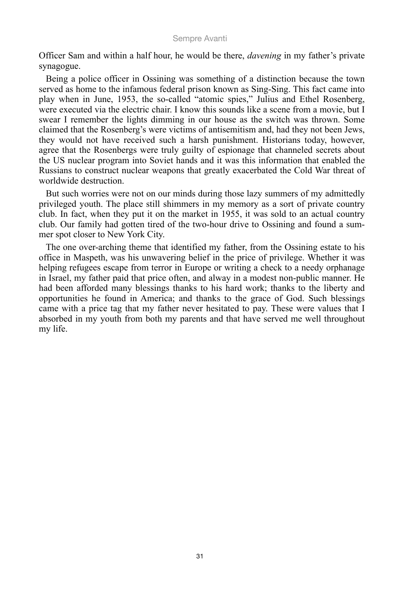Officer Sam and within a half hour, he would be there, *davening* in my father's private synagogue.

Being a police officer in Ossining was something of a distinction because the town served as home to the infamous federal prison known as Sing-Sing. This fact came into play when in June, 1953, the so-called "atomic spies," Julius and Ethel Rosenberg, were executed via the electric chair. I know this sounds like a scene from a movie, but I swear I remember the lights dimming in our house as the switch was thrown. Some claimed that the Rosenberg's were victims of antisemitism and, had they not been Jews, they would not have received such a harsh punishment. Historians today, however, agree that the Rosenbergs were truly guilty of espionage that channeled secrets about the US nuclear program into Soviet hands and it was this information that enabled the Russians to construct nuclear weapons that greatly exacerbated the Cold War threat of worldwide destruction.

But such worries were not on our minds during those lazy summers of my admittedly privileged youth. The place still shimmers in my memory as a sort of private country club. In fact, when they put it on the market in 1955, it was sold to an actual country club. Our family had gotten tired of the two-hour drive to Ossining and found a summer spot closer to New York City.

The one over-arching theme that identified my father, from the Ossining estate to his office in Maspeth, was his unwavering belief in the price of privilege. Whether it was helping refugees escape from terror in Europe or writing a check to a needy orphanage in Israel, my father paid that price often, and alway in a modest non-public manner. He had been afforded many blessings thanks to his hard work; thanks to the liberty and opportunities he found in America; and thanks to the grace of God. Such blessings came with a price tag that my father never hesitated to pay. These were values that I absorbed in my youth from both my parents and that have served me well throughout my life.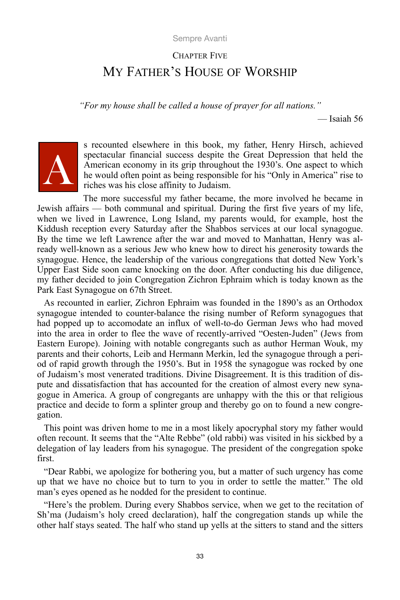# CHAPTER FIVE MY FATHER'S HOUSE OF WORSHIP

*"For my house shall be called a house of prayer for all nations."*

— Isaiah 56



s recounted elsewhere in this book, my father, Henry Hirsch, achieved spectacular financial success despite the Great Depression that held the American economy in its grip throughout the 1930's. One aspect to which he would often point as being responsible for his "Only in America" rise to riches was his close affinity to Judaism.

The more successful my father became, the more involved he became in Jewish affairs — both communal and spiritual. During the first five years of my life, when we lived in Lawrence, Long Island, my parents would, for example, host the Kiddush reception every Saturday after the Shabbos services at our local synagogue. By the time we left Lawrence after the war and moved to Manhattan, Henry was already well-known as a serious Jew who knew how to direct his generosity towards the synagogue. Hence, the leadership of the various congregations that dotted New York's Upper East Side soon came knocking on the door. After conducting his due diligence, my father decided to join Congregation Zichron Ephraim which is today known as the Park East Synagogue on 67th Street.

As recounted in earlier, Zichron Ephraim was founded in the 1890's as an Orthodox synagogue intended to counter-balance the rising number of Reform synagogues that had popped up to accomodate an influx of well-to-do German Jews who had moved into the area in order to flee the wave of recently-arrived "Oesten-Juden" (Jews from Eastern Europe). Joining with notable congregants such as author Herman Wouk, my parents and their cohorts, Leib and Hermann Merkin, led the synagogue through a period of rapid growth through the 1950's. But in 1958 the synagogue was rocked by one of Judaism's most venerated traditions. Divine Disagreement. It is this tradition of dispute and dissatisfaction that has accounted for the creation of almost every new synagogue in America. A group of congregants are unhappy with the this or that religious practice and decide to form a splinter group and thereby go on to found a new congregation.

This point was driven home to me in a most likely apocryphal story my father would often recount. It seems that the "Alte Rebbe" (old rabbi) was visited in his sickbed by a delegation of lay leaders from his synagogue. The president of the congregation spoke first.

"Dear Rabbi, we apologize for bothering you, but a matter of such urgency has come up that we have no choice but to turn to you in order to settle the matter." The old man's eyes opened as he nodded for the president to continue.

"Here's the problem. During every Shabbos service, when we get to the recitation of Sh'ma (Judaism's holy creed declaration), half the congregation stands up while the other half stays seated. The half who stand up yells at the sitters to stand and the sitters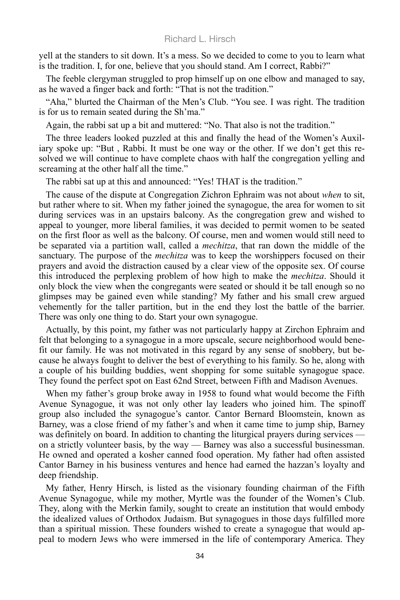yell at the standers to sit down. It's a mess. So we decided to come to you to learn what is the tradition. I, for one, believe that you should stand. Am I correct, Rabbi?"

The feeble clergyman struggled to prop himself up on one elbow and managed to say, as he waved a finger back and forth: "That is not the tradition."

"Aha," blurted the Chairman of the Men's Club. "You see. I was right. The tradition is for us to remain seated during the Sh'ma."

Again, the rabbi sat up a bit and muttered: "No. That also is not the tradition."

The three leaders looked puzzled at this and finally the head of the Women's Auxiliary spoke up: "But , Rabbi. It must be one way or the other. If we don't get this resolved we will continue to have complete chaos with half the congregation yelling and screaming at the other half all the time."

The rabbi sat up at this and announced: "Yes! THAT is the tradition."

The cause of the dispute at Congregation Zichron Ephraim was not about *when* to sit, but rather where to sit. When my father joined the synagogue, the area for women to sit during services was in an upstairs balcony. As the congregation grew and wished to appeal to younger, more liberal families, it was decided to permit women to be seated on the first floor as well as the balcony. Of course, men and women would still need to be separated via a partition wall, called a *mechitza*, that ran down the middle of the sanctuary. The purpose of the *mechitza* was to keep the worshippers focused on their prayers and avoid the distraction caused by a clear view of the opposite sex. Of course this introduced the perplexing problem of how high to make the *mechitza*. Should it only block the view when the congregants were seated or should it be tall enough so no glimpses may be gained even while standing? My father and his small crew argued vehemently for the taller partition, but in the end they lost the battle of the barrier. There was only one thing to do. Start your own synagogue.

Actually, by this point, my father was not particularly happy at Zirchon Ephraim and felt that belonging to a synagogue in a more upscale, secure neighborhood would benefit our family. He was not motivated in this regard by any sense of snobbery, but because he always fought to deliver the best of everything to his family. So he, along with a couple of his building buddies, went shopping for some suitable synagogue space. They found the perfect spot on East 62nd Street, between Fifth and Madison Avenues.

When my father's group broke away in 1958 to found what would become the Fifth Avenue Synagogue, it was not only other lay leaders who joined him. The spinoff group also included the synagogue's cantor. Cantor Bernard Bloomstein, known as Barney, was a close friend of my father's and when it came time to jump ship, Barney was definitely on board. In addition to chanting the liturgical prayers during services on a strictly volunteer basis, by the way — Barney was also a successful businessman. He owned and operated a kosher canned food operation. My father had often assisted Cantor Barney in his business ventures and hence had earned the hazzan's loyalty and deep friendship.

My father, Henry Hirsch, is listed as the visionary founding chairman of the Fifth Avenue Synagogue, while my mother, Myrtle was the founder of the Women's Club. They, along with the Merkin family, sought to create an institution that would embody the idealized values of Orthodox Judaism. But synagogues in those days fulfilled more than a spiritual mission. These founders wished to create a synagogue that would appeal to modern Jews who were immersed in the life of contemporary America. They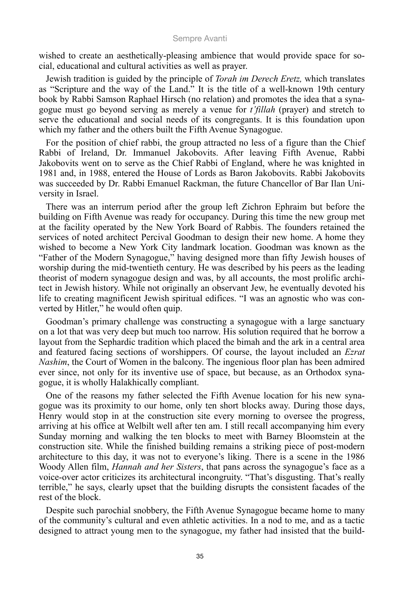wished to create an aesthetically-pleasing ambience that would provide space for social, educational and cultural activities as well as prayer.

Jewish tradition is guided by the principle of *Torah im Derech Eretz,* which translates as "Scripture and the way of the Land." It is the title of a well-known 19th century book by Rabbi Samson Raphael Hirsch (no relation) and promotes the idea that a synagogue must go beyond serving as merely a venue for *t'fillah* (prayer) and stretch to serve the educational and social needs of its congregants. It is this foundation upon which my father and the others built the Fifth Avenue Synagogue.

For the position of chief rabbi, the group attracted no less of a figure than the Chief Rabbi of Ireland, Dr. Immanuel Jakobovits. After leaving Fifth Avenue, Rabbi Jakobovits went on to serve as the Chief Rabbi of England, where he was knighted in 1981 and, in 1988, entered the House of Lords as Baron Jakobovits. Rabbi Jakobovits was succeeded by Dr. Rabbi Emanuel Rackman, the future Chancellor of Bar Ilan University in Israel.

There was an interrum period after the group left Zichron Ephraim but before the building on Fifth Avenue was ready for occupancy. During this time the new group met at the facility operated by the New York Board of Rabbis. The founders retained the services of noted architect Percival Goodman to design their new home. A home they wished to become a New York City landmark location. Goodman was known as the "Father of the Modern Synagogue," having designed more than fifty Jewish houses of worship during the mid-twentieth century. He was described by his peers as the leading theorist of modern synagogue design and was, by all accounts, the most prolific architect in Jewish history. While not originally an observant Jew, he eventually devoted his life to creating magnificent Jewish spiritual edifices. "I was an agnostic who was converted by Hitler," he would often quip.

Goodman's primary challenge was constructing a synagogue with a large sanctuary on a lot that was very deep but much too narrow. His solution required that he borrow a layout from the Sephardic tradition which placed the bimah and the ark in a central area and featured facing sections of worshippers. Of course, the layout included an *Ezrat Nashim*, the Court of Women in the balcony. The ingenious floor plan has been admired ever since, not only for its inventive use of space, but because, as an Orthodox synagogue, it is wholly Halakhically compliant.

One of the reasons my father selected the Fifth Avenue location for his new synagogue was its proximity to our home, only ten short blocks away. During those days, Henry would stop in at the construction site every morning to oversee the progress, arriving at his office at Welbilt well after ten am. I still recall accompanying him every Sunday morning and walking the ten blocks to meet with Barney Bloomstein at the construction site. While the finished building remains a striking piece of post-modern architecture to this day, it was not to everyone's liking. There is a scene in the 1986 Woody Allen film, *Hannah and her Sisters*, that pans across the synagogue's face as a voice-over actor criticizes its architectural incongruity. "That's disgusting. That's really terrible," he says, clearly upset that the building disrupts the consistent facades of the rest of the block.

Despite such parochial snobbery, the Fifth Avenue Synagogue became home to many of the community's cultural and even athletic activities. In a nod to me, and as a tactic designed to attract young men to the synagogue, my father had insisted that the build